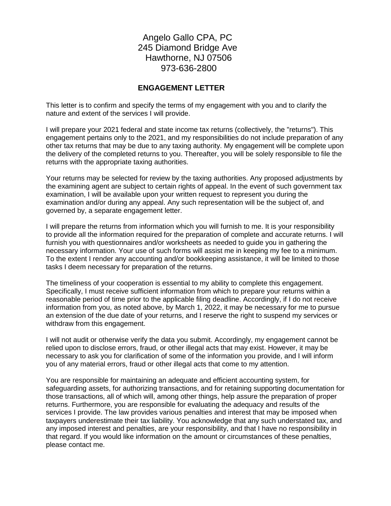Angelo Gallo CPA, PC 245 Diamond Bridge Ave Hawthorne, NJ 07506 973-636-2800

## **ENGAGEMENT LETTER**

This letter is to confirm and specify the terms of my engagement with you and to clarify the nature and extent of the services I will provide.

I will prepare your 2021 federal and state income tax returns (collectively, the "returns"). This engagement pertains only to the 2021, and my responsibilities do not include preparation of any other tax returns that may be due to any taxing authority. My engagement will be complete upon the delivery of the completed returns to you. Thereafter, you will be solely responsible to file the returns with the appropriate taxing authorities.

Your returns may be selected for review by the taxing authorities. Any proposed adjustments by the examining agent are subject to certain rights of appeal. In the event of such government tax examination, I will be available upon your written request to represent you during the examination and/or during any appeal. Any such representation will be the subject of, and governed by, a separate engagement letter.

I will prepare the returns from information which you will furnish to me. It is your responsibility to provide all the information required for the preparation of complete and accurate returns. I will furnish you with questionnaires and/or worksheets as needed to guide you in gathering the necessary information. Your use of such forms will assist me in keeping my fee to a minimum. To the extent I render any accounting and/or bookkeeping assistance, it will be limited to those tasks I deem necessary for preparation of the returns.

The timeliness of your cooperation is essential to my ability to complete this engagement. Specifically, I must receive sufficient information from which to prepare your returns within a reasonable period of time prior to the applicable filing deadline. Accordingly, if I do not receive information from you, as noted above, by March 1, 2022, it may be necessary for me to pursue an extension of the due date of your returns, and I reserve the right to suspend my services or withdraw from this engagement.

I will not audit or otherwise verify the data you submit. Accordingly, my engagement cannot be relied upon to disclose errors, fraud, or other illegal acts that may exist. However, it may be necessary to ask you for clarification of some of the information you provide, and I will inform you of any material errors, fraud or other illegal acts that come to my attention.

You are responsible for maintaining an adequate and efficient accounting system, for safeguarding assets, for authorizing transactions, and for retaining supporting documentation for those transactions, all of which will, among other things, help assure the preparation of proper returns. Furthermore, you are responsible for evaluating the adequacy and results of the services I provide. The law provides various penalties and interest that may be imposed when taxpayers underestimate their tax liability. You acknowledge that any such understated tax, and any imposed interest and penalties, are your responsibility, and that I have no responsibility in that regard. If you would like information on the amount or circumstances of these penalties, please contact me.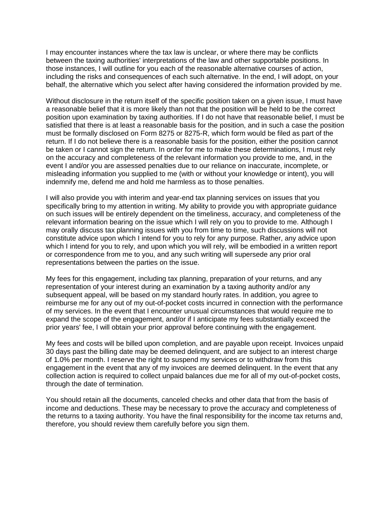I may encounter instances where the tax law is unclear, or where there may be conflicts between the taxing authorities' interpretations of the law and other supportable positions. In those instances, I will outline for you each of the reasonable alternative courses of action, including the risks and consequences of each such alternative. In the end, I will adopt, on your behalf, the alternative which you select after having considered the information provided by me.

Without disclosure in the return itself of the specific position taken on a given issue, I must have a reasonable belief that it is more likely than not that the position will be held to be the correct position upon examination by taxing authorities. If I do not have that reasonable belief, I must be satisfied that there is at least a reasonable basis for the position, and in such a case the position must be formally disclosed on Form 8275 or 8275-R, which form would be filed as part of the return. If I do not believe there is a reasonable basis for the position, either the position cannot be taken or I cannot sign the return. In order for me to make these determinations, I must rely on the accuracy and completeness of the relevant information you provide to me, and, in the event I and/or you are assessed penalties due to our reliance on inaccurate, incomplete, or misleading information you supplied to me (with or without your knowledge or intent), you will indemnify me, defend me and hold me harmless as to those penalties.

I will also provide you with interim and year-end tax planning services on issues that you specifically bring to my attention in writing. My ability to provide you with appropriate guidance on such issues will be entirely dependent on the timeliness, accuracy, and completeness of the relevant information bearing on the issue which I will rely on you to provide to me. Although I may orally discuss tax planning issues with you from time to time, such discussions will not constitute advice upon which I intend for you to rely for any purpose. Rather, any advice upon which I intend for you to rely, and upon which you will rely, will be embodied in a written report or correspondence from me to you, and any such writing will supersede any prior oral representations between the parties on the issue.

My fees for this engagement, including tax planning, preparation of your returns, and any representation of your interest during an examination by a taxing authority and/or any subsequent appeal, will be based on my standard hourly rates. In addition, you agree to reimburse me for any out of my out-of-pocket costs incurred in connection with the performance of my services. In the event that I encounter unusual circumstances that would require me to expand the scope of the engagement, and/or if I anticipate my fees substantially exceed the prior years' fee, I will obtain your prior approval before continuing with the engagement.

My fees and costs will be billed upon completion, and are payable upon receipt. Invoices unpaid 30 days past the billing date may be deemed delinquent, and are subject to an interest charge of 1.0% per month. I reserve the right to suspend my services or to withdraw from this engagement in the event that any of my invoices are deemed delinquent. In the event that any collection action is required to collect unpaid balances due me for all of my out-of-pocket costs, through the date of termination.

You should retain all the documents, canceled checks and other data that from the basis of income and deductions. These may be necessary to prove the accuracy and completeness of the returns to a taxing authority. You have the final responsibility for the income tax returns and, therefore, you should review them carefully before you sign them.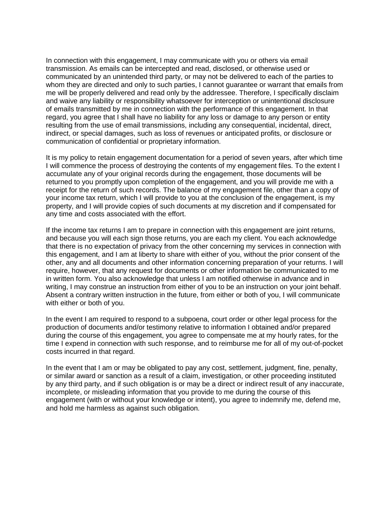In connection with this engagement, I may communicate with you or others via email transmission. As emails can be intercepted and read, disclosed, or otherwise used or communicated by an unintended third party, or may not be delivered to each of the parties to whom they are directed and only to such parties, I cannot guarantee or warrant that emails from me will be properly delivered and read only by the addressee. Therefore, I specifically disclaim and waive any liability or responsibility whatsoever for interception or unintentional disclosure of emails transmitted by me in connection with the performance of this engagement. In that regard, you agree that I shall have no liability for any loss or damage to any person or entity resulting from the use of email transmissions, including any consequential, incidental, direct, indirect, or special damages, such as loss of revenues or anticipated profits, or disclosure or communication of confidential or proprietary information.

It is my policy to retain engagement documentation for a period of seven years, after which time I will commence the process of destroying the contents of my engagement files. To the extent I accumulate any of your original records during the engagement, those documents will be returned to you promptly upon completion of the engagement, and you will provide me with a receipt for the return of such records. The balance of my engagement file, other than a copy of your income tax return, which I will provide to you at the conclusion of the engagement, is my property, and I will provide copies of such documents at my discretion and if compensated for any time and costs associated with the effort.

If the income tax returns I am to prepare in connection with this engagement are joint returns, and because you will each sign those returns, you are each my client. You each acknowledge that there is no expectation of privacy from the other concerning my services in connection with this engagement, and I am at liberty to share with either of you, without the prior consent of the other, any and all documents and other information concerning preparation of your returns. I will require, however, that any request for documents or other information be communicated to me in written form. You also acknowledge that unless I am notified otherwise in advance and in writing, I may construe an instruction from either of you to be an instruction on your joint behalf. Absent a contrary written instruction in the future, from either or both of you, I will communicate with either or both of you.

In the event I am required to respond to a subpoena, court order or other legal process for the production of documents and/or testimony relative to information I obtained and/or prepared during the course of this engagement, you agree to compensate me at my hourly rates, for the time I expend in connection with such response, and to reimburse me for all of my out-of-pocket costs incurred in that regard.

In the event that I am or may be obligated to pay any cost, settlement, judgment, fine, penalty, or similar award or sanction as a result of a claim, investigation, or other proceeding instituted by any third party, and if such obligation is or may be a direct or indirect result of any inaccurate, incomplete, or misleading information that you provide to me during the course of this engagement (with or without your knowledge or intent), you agree to indemnify me, defend me, and hold me harmless as against such obligation.